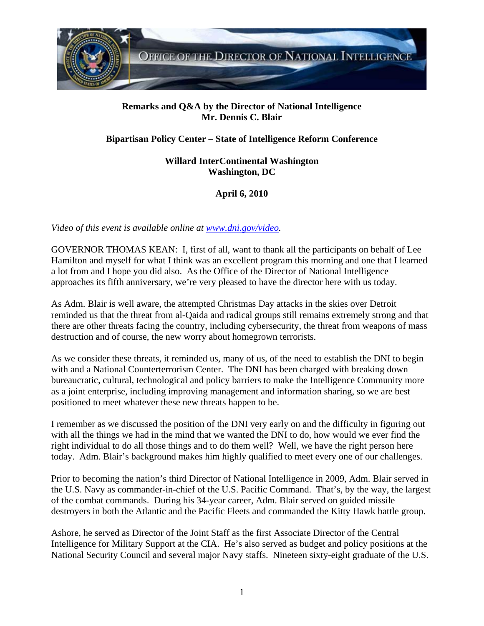

## **Remarks and Q&A by the Director of National Intelligence Mr. Dennis C. Blair**

## **Bipartisan Policy Center – State of Intelligence Reform Conference**

**Willard InterContinental Washington Washington, DC** 

**April 6, 2010** 

*Video of this event is available online at www.dni.gov/video.* 

GOVERNOR THOMAS KEAN: I, first of all, want to thank all the participants on behalf of Lee Hamilton and myself for what I think was an excellent program this morning and one that I learned a lot from and I hope you did also. As the Office of the Director of National Intelligence approaches its fifth anniversary, we're very pleased to have the director here with us today.

As Adm. Blair is well aware, the attempted Christmas Day attacks in the skies over Detroit reminded us that the threat from al-Qaida and radical groups still remains extremely strong and that there are other threats facing the country, including cybersecurity, the threat from weapons of mass destruction and of course, the new worry about homegrown terrorists.

As we consider these threats, it reminded us, many of us, of the need to establish the DNI to begin with and a National Counterterrorism Center. The DNI has been charged with breaking down bureaucratic, cultural, technological and policy barriers to make the Intelligence Community more as a joint enterprise, including improving management and information sharing, so we are best positioned to meet whatever these new threats happen to be.

I remember as we discussed the position of the DNI very early on and the difficulty in figuring out with all the things we had in the mind that we wanted the DNI to do, how would we ever find the right individual to do all those things and to do them well? Well, we have the right person here today. Adm. Blair's background makes him highly qualified to meet every one of our challenges.

Prior to becoming the nation's third Director of National Intelligence in 2009, Adm. Blair served in the U.S. Navy as commander-in-chief of the U.S. Pacific Command. That's, by the way, the largest of the combat commands. During his 34-year career, Adm. Blair served on guided missile destroyers in both the Atlantic and the Pacific Fleets and commanded the Kitty Hawk battle group.

Ashore, he served as Director of the Joint Staff as the first Associate Director of the Central Intelligence for Military Support at the CIA. He's also served as budget and policy positions at the National Security Council and several major Navy staffs. Nineteen sixty-eight graduate of the U.S.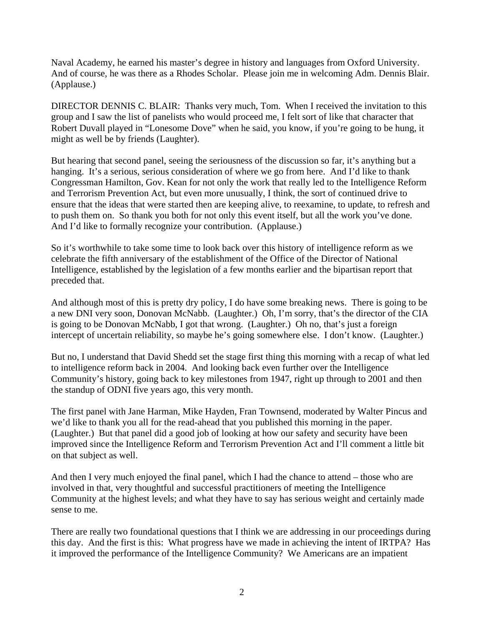Naval Academy, he earned his master's degree in history and languages from Oxford University. And of course, he was there as a Rhodes Scholar. Please join me in welcoming Adm. Dennis Blair. (Applause.)

DIRECTOR DENNIS C. BLAIR: Thanks very much, Tom. When I received the invitation to this group and I saw the list of panelists who would proceed me, I felt sort of like that character that Robert Duvall played in "Lonesome Dove" when he said, you know, if you're going to be hung, it might as well be by friends (Laughter).

But hearing that second panel, seeing the seriousness of the discussion so far, it's anything but a hanging. It's a serious, serious consideration of where we go from here. And I'd like to thank Congressman Hamilton, Gov. Kean for not only the work that really led to the Intelligence Reform and Terrorism Prevention Act, but even more unusually, I think, the sort of continued drive to ensure that the ideas that were started then are keeping alive, to reexamine, to update, to refresh and to push them on. So thank you both for not only this event itself, but all the work you've done. And I'd like to formally recognize your contribution. (Applause.)

So it's worthwhile to take some time to look back over this history of intelligence reform as we celebrate the fifth anniversary of the establishment of the Office of the Director of National Intelligence, established by the legislation of a few months earlier and the bipartisan report that preceded that.

And although most of this is pretty dry policy, I do have some breaking news. There is going to be a new DNI very soon, Donovan McNabb. (Laughter.) Oh, I'm sorry, that's the director of the CIA is going to be Donovan McNabb, I got that wrong. (Laughter.) Oh no, that's just a foreign intercept of uncertain reliability, so maybe he's going somewhere else. I don't know. (Laughter.)

But no, I understand that David Shedd set the stage first thing this morning with a recap of what led to intelligence reform back in 2004. And looking back even further over the Intelligence Community's history, going back to key milestones from 1947, right up through to 2001 and then the standup of ODNI five years ago, this very month.

The first panel with Jane Harman, Mike Hayden, Fran Townsend, moderated by Walter Pincus and we'd like to thank you all for the read-ahead that you published this morning in the paper. (Laughter.) But that panel did a good job of looking at how our safety and security have been improved since the Intelligence Reform and Terrorism Prevention Act and I'll comment a little bit on that subject as well.

And then I very much enjoyed the final panel, which I had the chance to attend – those who are involved in that, very thoughtful and successful practitioners of meeting the Intelligence Community at the highest levels; and what they have to say has serious weight and certainly made sense to me.

There are really two foundational questions that I think we are addressing in our proceedings during this day. And the first is this: What progress have we made in achieving the intent of IRTPA? Has it improved the performance of the Intelligence Community? We Americans are an impatient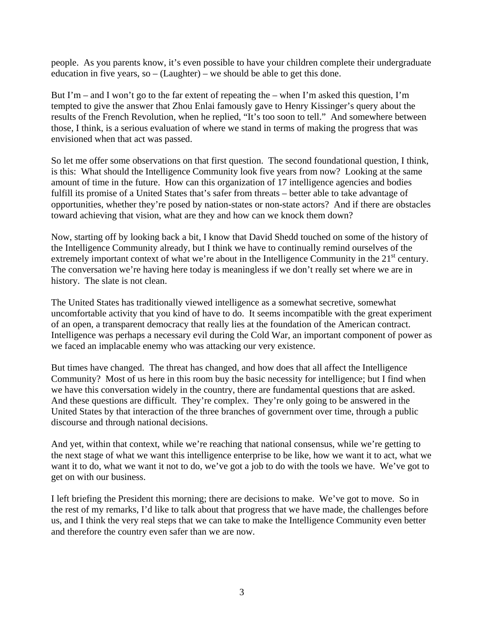people. As you parents know, it's even possible to have your children complete their undergraduate education in five years, so  $-$  (Laughter) – we should be able to get this done.

But I'm – and I won't go to the far extent of repeating the – when I'm asked this question, I'm tempted to give the answer that Zhou Enlai famously gave to Henry Kissinger's query about the results of the French Revolution, when he replied, "It's too soon to tell." And somewhere between those, I think, is a serious evaluation of where we stand in terms of making the progress that was envisioned when that act was passed.

So let me offer some observations on that first question. The second foundational question, I think, is this: What should the Intelligence Community look five years from now? Looking at the same amount of time in the future. How can this organization of 17 intelligence agencies and bodies fulfill its promise of a United States that's safer from threats – better able to take advantage of opportunities, whether they're posed by nation-states or non-state actors? And if there are obstacles toward achieving that vision, what are they and how can we knock them down?

Now, starting off by looking back a bit, I know that David Shedd touched on some of the history of the Intelligence Community already, but I think we have to continually remind ourselves of the extremely important context of what we're about in the Intelligence Community in the  $21<sup>st</sup>$  century. The conversation we're having here today is meaningless if we don't really set where we are in history. The slate is not clean.

The United States has traditionally viewed intelligence as a somewhat secretive, somewhat uncomfortable activity that you kind of have to do. It seems incompatible with the great experiment of an open, a transparent democracy that really lies at the foundation of the American contract. Intelligence was perhaps a necessary evil during the Cold War, an important component of power as we faced an implacable enemy who was attacking our very existence.

But times have changed. The threat has changed, and how does that all affect the Intelligence Community? Most of us here in this room buy the basic necessity for intelligence; but I find when we have this conversation widely in the country, there are fundamental questions that are asked. And these questions are difficult. They're complex. They're only going to be answered in the United States by that interaction of the three branches of government over time, through a public discourse and through national decisions.

And yet, within that context, while we're reaching that national consensus, while we're getting to the next stage of what we want this intelligence enterprise to be like, how we want it to act, what we want it to do, what we want it not to do, we've got a job to do with the tools we have. We've got to get on with our business.

I left briefing the President this morning; there are decisions to make. We've got to move. So in the rest of my remarks, I'd like to talk about that progress that we have made, the challenges before us, and I think the very real steps that we can take to make the Intelligence Community even better and therefore the country even safer than we are now.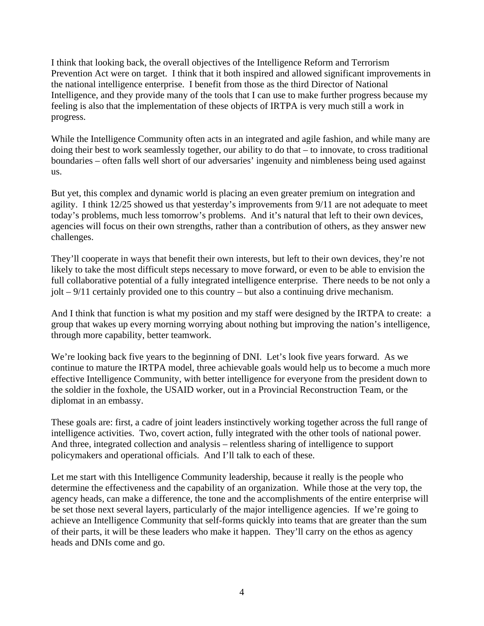I think that looking back, the overall objectives of the Intelligence Reform and Terrorism Prevention Act were on target. I think that it both inspired and allowed significant improvements in the national intelligence enterprise. I benefit from those as the third Director of National Intelligence, and they provide many of the tools that I can use to make further progress because my feeling is also that the implementation of these objects of IRTPA is very much still a work in progress.

While the Intelligence Community often acts in an integrated and agile fashion, and while many are doing their best to work seamlessly together, our ability to do that – to innovate, to cross traditional boundaries – often falls well short of our adversaries' ingenuity and nimbleness being used against us.

But yet, this complex and dynamic world is placing an even greater premium on integration and agility. I think 12/25 showed us that yesterday's improvements from 9/11 are not adequate to meet today's problems, much less tomorrow's problems. And it's natural that left to their own devices, agencies will focus on their own strengths, rather than a contribution of others, as they answer new challenges.

They'll cooperate in ways that benefit their own interests, but left to their own devices, they're not likely to take the most difficult steps necessary to move forward, or even to be able to envision the full collaborative potential of a fully integrated intelligence enterprise. There needs to be not only a jolt – 9/11 certainly provided one to this country – but also a continuing drive mechanism.

And I think that function is what my position and my staff were designed by the IRTPA to create: a group that wakes up every morning worrying about nothing but improving the nation's intelligence, through more capability, better teamwork.

We're looking back five years to the beginning of DNI. Let's look five years forward. As we continue to mature the IRTPA model, three achievable goals would help us to become a much more effective Intelligence Community, with better intelligence for everyone from the president down to the soldier in the foxhole, the USAID worker, out in a Provincial Reconstruction Team, or the diplomat in an embassy.

These goals are: first, a cadre of joint leaders instinctively working together across the full range of intelligence activities. Two, covert action, fully integrated with the other tools of national power. And three, integrated collection and analysis – relentless sharing of intelligence to support policymakers and operational officials. And I'll talk to each of these.

Let me start with this Intelligence Community leadership, because it really is the people who determine the effectiveness and the capability of an organization. While those at the very top, the agency heads, can make a difference, the tone and the accomplishments of the entire enterprise will be set those next several layers, particularly of the major intelligence agencies. If we're going to achieve an Intelligence Community that self-forms quickly into teams that are greater than the sum of their parts, it will be these leaders who make it happen. They'll carry on the ethos as agency heads and DNIs come and go.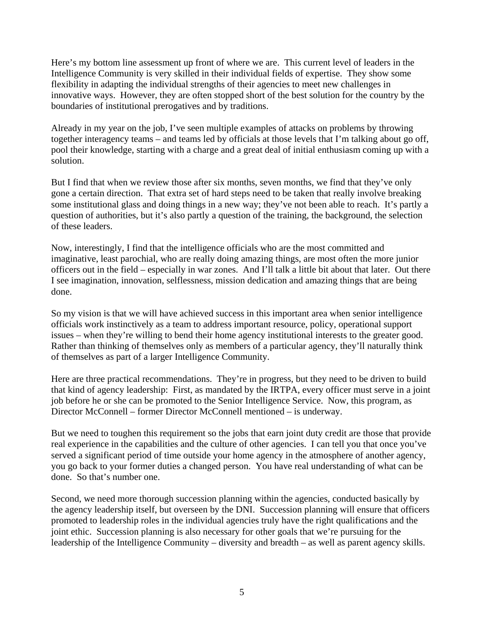Here's my bottom line assessment up front of where we are. This current level of leaders in the Intelligence Community is very skilled in their individual fields of expertise. They show some flexibility in adapting the individual strengths of their agencies to meet new challenges in innovative ways. However, they are often stopped short of the best solution for the country by the boundaries of institutional prerogatives and by traditions.

Already in my year on the job, I've seen multiple examples of attacks on problems by throwing together interagency teams – and teams led by officials at those levels that I'm talking about go off, pool their knowledge, starting with a charge and a great deal of initial enthusiasm coming up with a solution.

But I find that when we review those after six months, seven months, we find that they've only gone a certain direction. That extra set of hard steps need to be taken that really involve breaking some institutional glass and doing things in a new way; they've not been able to reach. It's partly a question of authorities, but it's also partly a question of the training, the background, the selection of these leaders.

Now, interestingly, I find that the intelligence officials who are the most committed and imaginative, least parochial, who are really doing amazing things, are most often the more junior officers out in the field – especially in war zones. And I'll talk a little bit about that later. Out there I see imagination, innovation, selflessness, mission dedication and amazing things that are being done.

So my vision is that we will have achieved success in this important area when senior intelligence officials work instinctively as a team to address important resource, policy, operational support issues – when they're willing to bend their home agency institutional interests to the greater good. Rather than thinking of themselves only as members of a particular agency, they'll naturally think of themselves as part of a larger Intelligence Community.

Here are three practical recommendations. They're in progress, but they need to be driven to build that kind of agency leadership: First, as mandated by the IRTPA, every officer must serve in a joint job before he or she can be promoted to the Senior Intelligence Service. Now, this program, as Director McConnell – former Director McConnell mentioned – is underway.

But we need to toughen this requirement so the jobs that earn joint duty credit are those that provide real experience in the capabilities and the culture of other agencies. I can tell you that once you've served a significant period of time outside your home agency in the atmosphere of another agency, you go back to your former duties a changed person. You have real understanding of what can be done. So that's number one.

Second, we need more thorough succession planning within the agencies, conducted basically by the agency leadership itself, but overseen by the DNI. Succession planning will ensure that officers promoted to leadership roles in the individual agencies truly have the right qualifications and the joint ethic. Succession planning is also necessary for other goals that we're pursuing for the leadership of the Intelligence Community – diversity and breadth – as well as parent agency skills.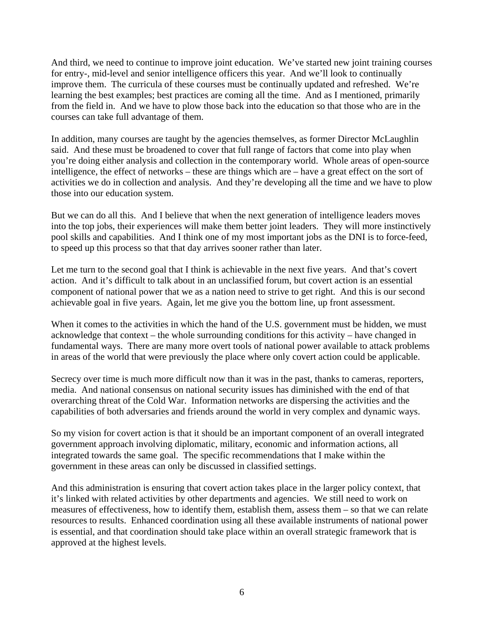And third, we need to continue to improve joint education. We've started new joint training courses for entry-, mid-level and senior intelligence officers this year. And we'll look to continually improve them. The curricula of these courses must be continually updated and refreshed. We're learning the best examples; best practices are coming all the time. And as I mentioned, primarily from the field in. And we have to plow those back into the education so that those who are in the courses can take full advantage of them.

In addition, many courses are taught by the agencies themselves, as former Director McLaughlin said. And these must be broadened to cover that full range of factors that come into play when you're doing either analysis and collection in the contemporary world. Whole areas of open-source intelligence, the effect of networks – these are things which are – have a great effect on the sort of activities we do in collection and analysis. And they're developing all the time and we have to plow those into our education system.

But we can do all this. And I believe that when the next generation of intelligence leaders moves into the top jobs, their experiences will make them better joint leaders. They will more instinctively pool skills and capabilities. And I think one of my most important jobs as the DNI is to force-feed, to speed up this process so that that day arrives sooner rather than later.

Let me turn to the second goal that I think is achievable in the next five years. And that's covert action. And it's difficult to talk about in an unclassified forum, but covert action is an essential component of national power that we as a nation need to strive to get right. And this is our second achievable goal in five years. Again, let me give you the bottom line, up front assessment.

When it comes to the activities in which the hand of the U.S. government must be hidden, we must acknowledge that context – the whole surrounding conditions for this activity – have changed in fundamental ways. There are many more overt tools of national power available to attack problems in areas of the world that were previously the place where only covert action could be applicable.

Secrecy over time is much more difficult now than it was in the past, thanks to cameras, reporters, media. And national consensus on national security issues has diminished with the end of that overarching threat of the Cold War. Information networks are dispersing the activities and the capabilities of both adversaries and friends around the world in very complex and dynamic ways.

So my vision for covert action is that it should be an important component of an overall integrated government approach involving diplomatic, military, economic and information actions, all integrated towards the same goal. The specific recommendations that I make within the government in these areas can only be discussed in classified settings.

And this administration is ensuring that covert action takes place in the larger policy context, that it's linked with related activities by other departments and agencies. We still need to work on measures of effectiveness, how to identify them, establish them, assess them – so that we can relate resources to results. Enhanced coordination using all these available instruments of national power is essential, and that coordination should take place within an overall strategic framework that is approved at the highest levels.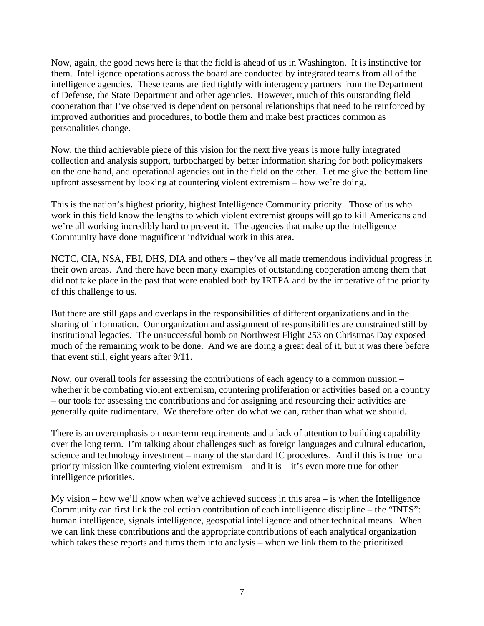Now, again, the good news here is that the field is ahead of us in Washington. It is instinctive for them. Intelligence operations across the board are conducted by integrated teams from all of the intelligence agencies. These teams are tied tightly with interagency partners from the Department of Defense, the State Department and other agencies. However, much of this outstanding field cooperation that I've observed is dependent on personal relationships that need to be reinforced by improved authorities and procedures, to bottle them and make best practices common as personalities change.

Now, the third achievable piece of this vision for the next five years is more fully integrated collection and analysis support, turbocharged by better information sharing for both policymakers on the one hand, and operational agencies out in the field on the other. Let me give the bottom line upfront assessment by looking at countering violent extremism – how we're doing.

This is the nation's highest priority, highest Intelligence Community priority. Those of us who work in this field know the lengths to which violent extremist groups will go to kill Americans and we're all working incredibly hard to prevent it. The agencies that make up the Intelligence Community have done magnificent individual work in this area.

NCTC, CIA, NSA, FBI, DHS, DIA and others – they've all made tremendous individual progress in their own areas. And there have been many examples of outstanding cooperation among them that did not take place in the past that were enabled both by IRTPA and by the imperative of the priority of this challenge to us.

But there are still gaps and overlaps in the responsibilities of different organizations and in the sharing of information. Our organization and assignment of responsibilities are constrained still by institutional legacies. The unsuccessful bomb on Northwest Flight 253 on Christmas Day exposed much of the remaining work to be done. And we are doing a great deal of it, but it was there before that event still, eight years after 9/11.

Now, our overall tools for assessing the contributions of each agency to a common mission – whether it be combating violent extremism, countering proliferation or activities based on a country – our tools for assessing the contributions and for assigning and resourcing their activities are generally quite rudimentary. We therefore often do what we can, rather than what we should.

There is an overemphasis on near-term requirements and a lack of attention to building capability over the long term. I'm talking about challenges such as foreign languages and cultural education, science and technology investment – many of the standard IC procedures. And if this is true for a priority mission like countering violent extremism – and it is – it's even more true for other intelligence priorities.

My vision – how we'll know when we've achieved success in this area – is when the Intelligence Community can first link the collection contribution of each intelligence discipline – the "INTS": human intelligence, signals intelligence, geospatial intelligence and other technical means. When we can link these contributions and the appropriate contributions of each analytical organization which takes these reports and turns them into analysis – when we link them to the prioritized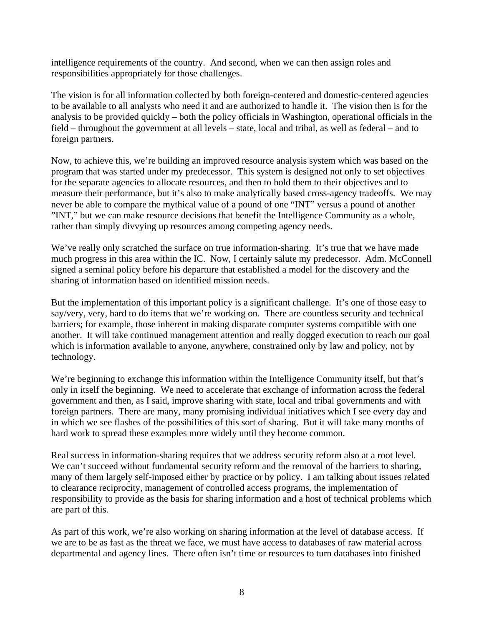intelligence requirements of the country. And second, when we can then assign roles and responsibilities appropriately for those challenges.

The vision is for all information collected by both foreign-centered and domestic-centered agencies to be available to all analysts who need it and are authorized to handle it. The vision then is for the analysis to be provided quickly – both the policy officials in Washington, operational officials in the field – throughout the government at all levels – state, local and tribal, as well as federal – and to foreign partners.

Now, to achieve this, we're building an improved resource analysis system which was based on the program that was started under my predecessor. This system is designed not only to set objectives for the separate agencies to allocate resources, and then to hold them to their objectives and to measure their performance, but it's also to make analytically based cross-agency tradeoffs. We may never be able to compare the mythical value of a pound of one "INT" versus a pound of another "INT," but we can make resource decisions that benefit the Intelligence Community as a whole, rather than simply divvying up resources among competing agency needs.

We've really only scratched the surface on true information-sharing. It's true that we have made much progress in this area within the IC. Now, I certainly salute my predecessor. Adm. McConnell signed a seminal policy before his departure that established a model for the discovery and the sharing of information based on identified mission needs.

But the implementation of this important policy is a significant challenge. It's one of those easy to say/very, very, hard to do items that we're working on. There are countless security and technical barriers; for example, those inherent in making disparate computer systems compatible with one another. It will take continued management attention and really dogged execution to reach our goal which is information available to anyone, anywhere, constrained only by law and policy, not by technology.

We're beginning to exchange this information within the Intelligence Community itself, but that's only in itself the beginning. We need to accelerate that exchange of information across the federal government and then, as I said, improve sharing with state, local and tribal governments and with foreign partners. There are many, many promising individual initiatives which I see every day and in which we see flashes of the possibilities of this sort of sharing. But it will take many months of hard work to spread these examples more widely until they become common.

Real success in information-sharing requires that we address security reform also at a root level. We can't succeed without fundamental security reform and the removal of the barriers to sharing, many of them largely self-imposed either by practice or by policy. I am talking about issues related to clearance reciprocity, management of controlled access programs, the implementation of responsibility to provide as the basis for sharing information and a host of technical problems which are part of this.

As part of this work, we're also working on sharing information at the level of database access. If we are to be as fast as the threat we face, we must have access to databases of raw material across departmental and agency lines. There often isn't time or resources to turn databases into finished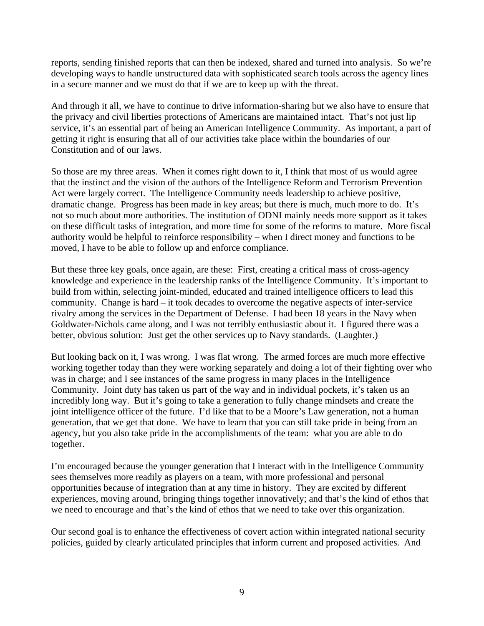reports, sending finished reports that can then be indexed, shared and turned into analysis. So we're developing ways to handle unstructured data with sophisticated search tools across the agency lines in a secure manner and we must do that if we are to keep up with the threat.

And through it all, we have to continue to drive information-sharing but we also have to ensure that the privacy and civil liberties protections of Americans are maintained intact. That's not just lip service, it's an essential part of being an American Intelligence Community. As important, a part of getting it right is ensuring that all of our activities take place within the boundaries of our Constitution and of our laws.

So those are my three areas. When it comes right down to it, I think that most of us would agree that the instinct and the vision of the authors of the Intelligence Reform and Terrorism Prevention Act were largely correct. The Intelligence Community needs leadership to achieve positive, dramatic change. Progress has been made in key areas; but there is much, much more to do. It's not so much about more authorities. The institution of ODNI mainly needs more support as it takes on these difficult tasks of integration, and more time for some of the reforms to mature. More fiscal authority would be helpful to reinforce responsibility – when I direct money and functions to be moved, I have to be able to follow up and enforce compliance.

But these three key goals, once again, are these: First, creating a critical mass of cross-agency knowledge and experience in the leadership ranks of the Intelligence Community. It's important to build from within, selecting joint-minded, educated and trained intelligence officers to lead this community. Change is hard – it took decades to overcome the negative aspects of inter-service rivalry among the services in the Department of Defense. I had been 18 years in the Navy when Goldwater-Nichols came along, and I was not terribly enthusiastic about it. I figured there was a better, obvious solution: Just get the other services up to Navy standards. (Laughter.)

But looking back on it, I was wrong. I was flat wrong. The armed forces are much more effective working together today than they were working separately and doing a lot of their fighting over who was in charge; and I see instances of the same progress in many places in the Intelligence Community. Joint duty has taken us part of the way and in individual pockets, it's taken us an incredibly long way. But it's going to take a generation to fully change mindsets and create the joint intelligence officer of the future. I'd like that to be a Moore's Law generation, not a human generation, that we get that done. We have to learn that you can still take pride in being from an agency, but you also take pride in the accomplishments of the team: what you are able to do together.

I'm encouraged because the younger generation that I interact with in the Intelligence Community sees themselves more readily as players on a team, with more professional and personal opportunities because of integration than at any time in history. They are excited by different experiences, moving around, bringing things together innovatively; and that's the kind of ethos that we need to encourage and that's the kind of ethos that we need to take over this organization.

Our second goal is to enhance the effectiveness of covert action within integrated national security policies, guided by clearly articulated principles that inform current and proposed activities. And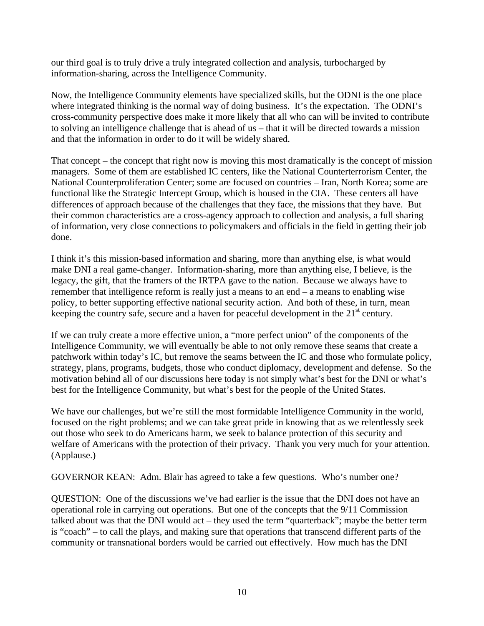our third goal is to truly drive a truly integrated collection and analysis, turbocharged by information-sharing, across the Intelligence Community.

Now, the Intelligence Community elements have specialized skills, but the ODNI is the one place where integrated thinking is the normal way of doing business. It's the expectation. The ODNI's cross-community perspective does make it more likely that all who can will be invited to contribute to solving an intelligence challenge that is ahead of us – that it will be directed towards a mission and that the information in order to do it will be widely shared.

That concept – the concept that right now is moving this most dramatically is the concept of mission managers. Some of them are established IC centers, like the National Counterterrorism Center, the National Counterproliferation Center; some are focused on countries – Iran, North Korea; some are functional like the Strategic Intercept Group, which is housed in the CIA. These centers all have differences of approach because of the challenges that they face, the missions that they have. But their common characteristics are a cross-agency approach to collection and analysis, a full sharing of information, very close connections to policymakers and officials in the field in getting their job done.

I think it's this mission-based information and sharing, more than anything else, is what would make DNI a real game-changer. Information-sharing, more than anything else, I believe, is the legacy, the gift, that the framers of the IRTPA gave to the nation. Because we always have to remember that intelligence reform is really just a means to an end – a means to enabling wise policy, to better supporting effective national security action. And both of these, in turn, mean keeping the country safe, secure and a haven for peaceful development in the  $21<sup>st</sup>$  century.

If we can truly create a more effective union, a "more perfect union" of the components of the Intelligence Community, we will eventually be able to not only remove these seams that create a patchwork within today's IC, but remove the seams between the IC and those who formulate policy, strategy, plans, programs, budgets, those who conduct diplomacy, development and defense. So the motivation behind all of our discussions here today is not simply what's best for the DNI or what's best for the Intelligence Community, but what's best for the people of the United States.

We have our challenges, but we're still the most formidable Intelligence Community in the world, focused on the right problems; and we can take great pride in knowing that as we relentlessly seek out those who seek to do Americans harm, we seek to balance protection of this security and welfare of Americans with the protection of their privacy. Thank you very much for your attention. (Applause.)

GOVERNOR KEAN: Adm. Blair has agreed to take a few questions. Who's number one?

QUESTION: One of the discussions we've had earlier is the issue that the DNI does not have an operational role in carrying out operations. But one of the concepts that the 9/11 Commission talked about was that the DNI would act – they used the term "quarterback"; maybe the better term is "coach" – to call the plays, and making sure that operations that transcend different parts of the community or transnational borders would be carried out effectively. How much has the DNI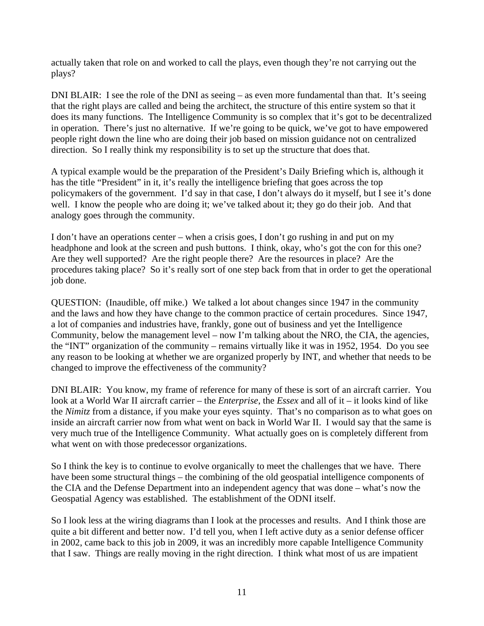actually taken that role on and worked to call the plays, even though they're not carrying out the plays?

DNI BLAIR: I see the role of the DNI as seeing – as even more fundamental than that. It's seeing that the right plays are called and being the architect, the structure of this entire system so that it does its many functions. The Intelligence Community is so complex that it's got to be decentralized in operation. There's just no alternative. If we're going to be quick, we've got to have empowered people right down the line who are doing their job based on mission guidance not on centralized direction. So I really think my responsibility is to set up the structure that does that.

A typical example would be the preparation of the President's Daily Briefing which is, although it has the title "President" in it, it's really the intelligence briefing that goes across the top policymakers of the government. I'd say in that case, I don't always do it myself, but I see it's done well. I know the people who are doing it; we've talked about it; they go do their job. And that analogy goes through the community.

I don't have an operations center – when a crisis goes, I don't go rushing in and put on my headphone and look at the screen and push buttons. I think, okay, who's got the con for this one? Are they well supported? Are the right people there? Are the resources in place? Are the procedures taking place? So it's really sort of one step back from that in order to get the operational job done.

QUESTION: (Inaudible, off mike.) We talked a lot about changes since 1947 in the community and the laws and how they have change to the common practice of certain procedures. Since 1947, a lot of companies and industries have, frankly, gone out of business and yet the Intelligence Community, below the management level – now I'm talking about the NRO, the CIA, the agencies, the "INT" organization of the community – remains virtually like it was in 1952, 1954. Do you see any reason to be looking at whether we are organized properly by INT, and whether that needs to be changed to improve the effectiveness of the community?

DNI BLAIR: You know, my frame of reference for many of these is sort of an aircraft carrier. You look at a World War II aircraft carrier – the *Enterprise*, the *Essex* and all of it – it looks kind of like the *Nimitz* from a distance, if you make your eyes squinty. That's no comparison as to what goes on inside an aircraft carrier now from what went on back in World War II. I would say that the same is very much true of the Intelligence Community. What actually goes on is completely different from what went on with those predecessor organizations.

So I think the key is to continue to evolve organically to meet the challenges that we have. There have been some structural things – the combining of the old geospatial intelligence components of the CIA and the Defense Department into an independent agency that was done – what's now the Geospatial Agency was established. The establishment of the ODNI itself.

So I look less at the wiring diagrams than I look at the processes and results. And I think those are quite a bit different and better now. I'd tell you, when I left active duty as a senior defense officer in 2002, came back to this job in 2009, it was an incredibly more capable Intelligence Community that I saw. Things are really moving in the right direction. I think what most of us are impatient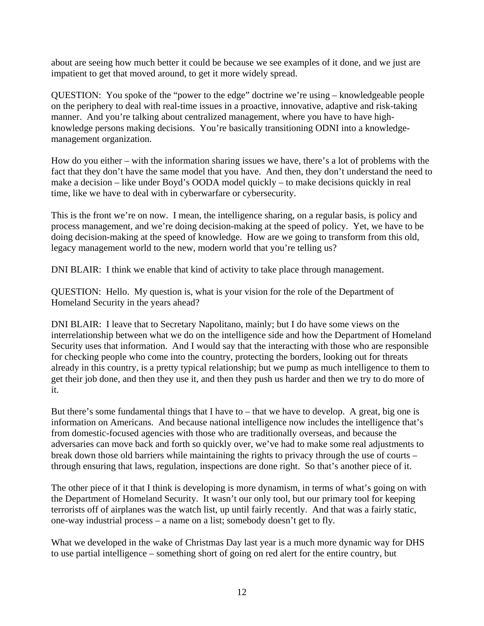about are seeing how much better it could be because we see examples of it done, and we just are impatient to get that moved around, to get it more widely spread.

QUESTION: You spoke of the "power to the edge" doctrine we're using – knowledgeable people on the periphery to deal with real-time issues in a proactive, innovative, adaptive and risk-taking manner. And you're talking about centralized management, where you have to have highknowledge persons making decisions. You're basically transitioning ODNI into a knowledgemanagement organization.

How do you either – with the information sharing issues we have, there's a lot of problems with the fact that they don't have the same model that you have. And then, they don't understand the need to make a decision – like under Boyd's OODA model quickly – to make decisions quickly in real time, like we have to deal with in cyberwarfare or cybersecurity.

This is the front we're on now. I mean, the intelligence sharing, on a regular basis, is policy and process management, and we're doing decision-making at the speed of policy. Yet, we have to be doing decision-making at the speed of knowledge. How are we going to transform from this old, legacy management world to the new, modern world that you're telling us?

DNI BLAIR: I think we enable that kind of activity to take place through management.

QUESTION: Hello. My question is, what is your vision for the role of the Department of Homeland Security in the years ahead?

DNI BLAIR: I leave that to Secretary Napolitano, mainly; but I do have some views on the interrelationship between what we do on the intelligence side and how the Department of Homeland Security uses that information. And I would say that the interacting with those who are responsible for checking people who come into the country, protecting the borders, looking out for threats already in this country, is a pretty typical relationship; but we pump as much intelligence to them to get their job done, and then they use it, and then they push us harder and then we try to do more of it.

But there's some fundamental things that I have to – that we have to develop. A great, big one is information on Americans. And because national intelligence now includes the intelligence that's from domestic-focused agencies with those who are traditionally overseas, and because the adversaries can move back and forth so quickly over, we've had to make some real adjustments to break down those old barriers while maintaining the rights to privacy through the use of courts – through ensuring that laws, regulation, inspections are done right. So that's another piece of it.

The other piece of it that I think is developing is more dynamism, in terms of what's going on with the Department of Homeland Security. It wasn't our only tool, but our primary tool for keeping terrorists off of airplanes was the watch list, up until fairly recently. And that was a fairly static, one-way industrial process – a name on a list; somebody doesn't get to fly.

What we developed in the wake of Christmas Day last year is a much more dynamic way for DHS to use partial intelligence – something short of going on red alert for the entire country, but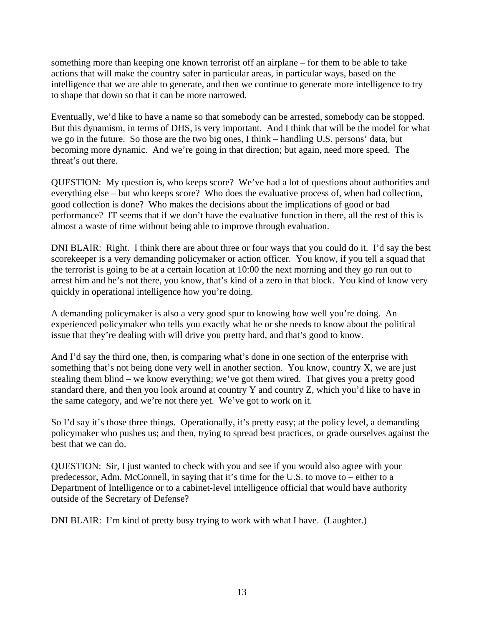something more than keeping one known terrorist off an airplane – for them to be able to take actions that will make the country safer in particular areas, in particular ways, based on the intelligence that we are able to generate, and then we continue to generate more intelligence to try to shape that down so that it can be more narrowed.

Eventually, we'd like to have a name so that somebody can be arrested, somebody can be stopped. But this dynamism, in terms of DHS, is very important. And I think that will be the model for what we go in the future. So those are the two big ones, I think – handling U.S. persons' data, but becoming more dynamic. And we're going in that direction; but again, need more speed. The threat's out there.

QUESTION: My question is, who keeps score? We've had a lot of questions about authorities and everything else – but who keeps score? Who does the evaluative process of, when bad collection, good collection is done? Who makes the decisions about the implications of good or bad performance? IT seems that if we don't have the evaluative function in there, all the rest of this is almost a waste of time without being able to improve through evaluation.

DNI BLAIR: Right. I think there are about three or four ways that you could do it. I'd say the best scorekeeper is a very demanding policymaker or action officer. You know, if you tell a squad that the terrorist is going to be at a certain location at 10:00 the next morning and they go run out to arrest him and he's not there, you know, that's kind of a zero in that block. You kind of know very quickly in operational intelligence how you're doing.

A demanding policymaker is also a very good spur to knowing how well you're doing. An experienced policymaker who tells you exactly what he or she needs to know about the political issue that they're dealing with will drive you pretty hard, and that's good to know.

And I'd say the third one, then, is comparing what's done in one section of the enterprise with something that's not being done very well in another section. You know, country X, we are just stealing them blind – we know everything; we've got them wired. That gives you a pretty good standard there, and then you look around at country Y and country Z, which you'd like to have in the same category, and we're not there yet. We've got to work on it.

So I'd say it's those three things. Operationally, it's pretty easy; at the policy level, a demanding policymaker who pushes us; and then, trying to spread best practices, or grade ourselves against the best that we can do.

QUESTION: Sir, I just wanted to check with you and see if you would also agree with your predecessor, Adm. McConnell, in saying that it's time for the U.S. to move to – either to a Department of Intelligence or to a cabinet-level intelligence official that would have authority outside of the Secretary of Defense?

DNI BLAIR: I'm kind of pretty busy trying to work with what I have. (Laughter.)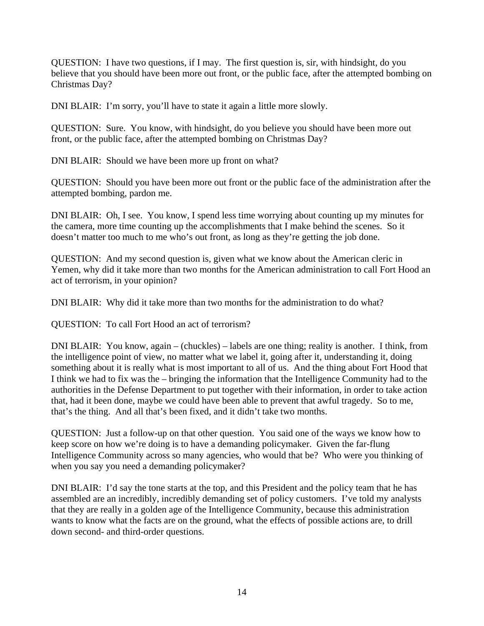QUESTION: I have two questions, if I may. The first question is, sir, with hindsight, do you believe that you should have been more out front, or the public face, after the attempted bombing on Christmas Day?

DNI BLAIR: I'm sorry, you'll have to state it again a little more slowly.

QUESTION: Sure. You know, with hindsight, do you believe you should have been more out front, or the public face, after the attempted bombing on Christmas Day?

DNI BLAIR: Should we have been more up front on what?

QUESTION: Should you have been more out front or the public face of the administration after the attempted bombing, pardon me.

DNI BLAIR: Oh, I see. You know, I spend less time worrying about counting up my minutes for the camera, more time counting up the accomplishments that I make behind the scenes. So it doesn't matter too much to me who's out front, as long as they're getting the job done.

QUESTION: And my second question is, given what we know about the American cleric in Yemen, why did it take more than two months for the American administration to call Fort Hood an act of terrorism, in your opinion?

DNI BLAIR: Why did it take more than two months for the administration to do what?

QUESTION: To call Fort Hood an act of terrorism?

DNI BLAIR: You know, again – (chuckles) – labels are one thing; reality is another. I think, from the intelligence point of view, no matter what we label it, going after it, understanding it, doing something about it is really what is most important to all of us. And the thing about Fort Hood that I think we had to fix was the – bringing the information that the Intelligence Community had to the authorities in the Defense Department to put together with their information, in order to take action that, had it been done, maybe we could have been able to prevent that awful tragedy. So to me, that's the thing. And all that's been fixed, and it didn't take two months.

QUESTION: Just a follow-up on that other question. You said one of the ways we know how to keep score on how we're doing is to have a demanding policymaker. Given the far-flung Intelligence Community across so many agencies, who would that be? Who were you thinking of when you say you need a demanding policymaker?

DNI BLAIR: I'd say the tone starts at the top, and this President and the policy team that he has assembled are an incredibly, incredibly demanding set of policy customers. I've told my analysts that they are really in a golden age of the Intelligence Community, because this administration wants to know what the facts are on the ground, what the effects of possible actions are, to drill down second- and third-order questions.